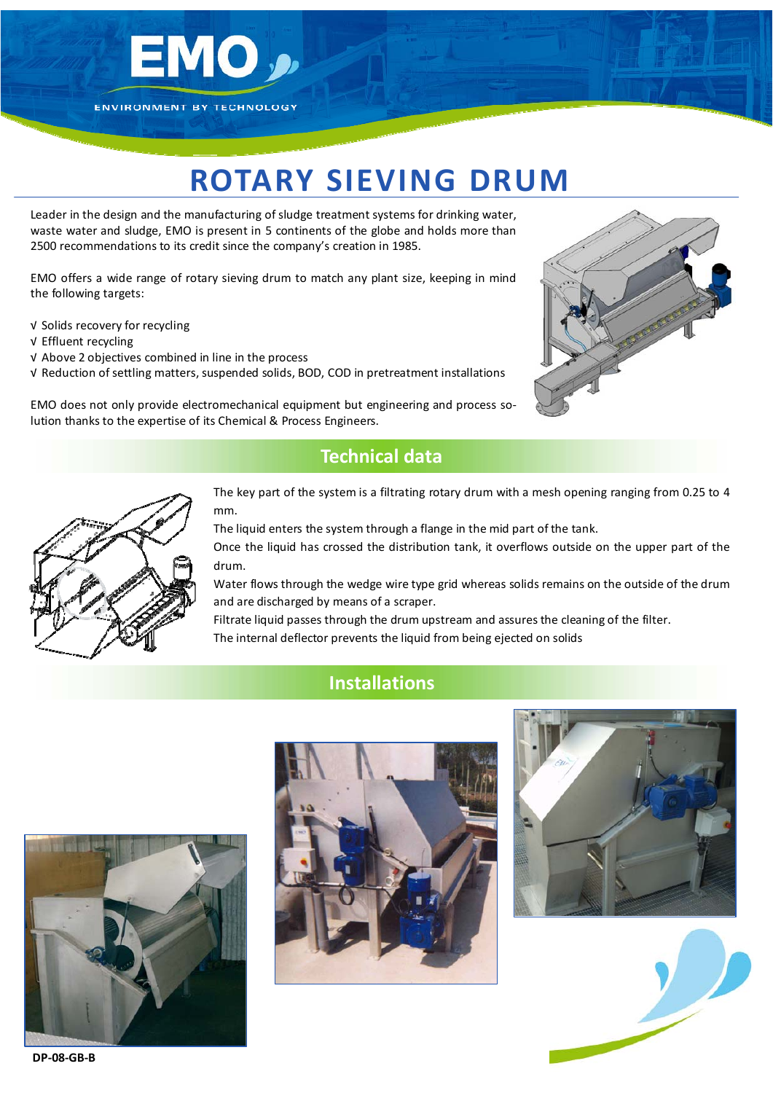

# **ROTARY SIEVING DRUM**

Leader in the design and the manufacturing ofsludge treatment systems for drinking water, waste water and sludge, EMO is present in 5 continents of the globe and holds more than 2500 recommendations to its credit since the company's creation in 1985.

EMO offers a wide range of rotary sieving drum to match any plant size, keeping in mind the following targets:

- √ Solids recovery for recycling
- √ Effluent recycling
- √ Above 2 objectives combined in line in the process
- √ Reduction ofsettling matters, suspended solids, BOD, COD in pretreatment installations

EMO does not only provide electromechanical equipment but engineering and process so‐ lution thanks to the expertise of its Chemical & Process Engineers.



## **Technical data**



The key part of the system is a filtrating rotary drum with a mesh opening ranging from 0.25 to 4 mm.

The liquid enters the system through a flange in the mid part of the tank.

Once the liquid has crossed the distribution tank, it overflows outside on the upper part of the drum.

Water flows through the wedge wire type grid whereas solids remains on the outside of the drum and are discharged by means of a scraper.

Filtrate liquid passes through the drum upstream and assures the cleaning of the filter. The internal deflector prevents the liquid from being ejected on solids

### **Installations**